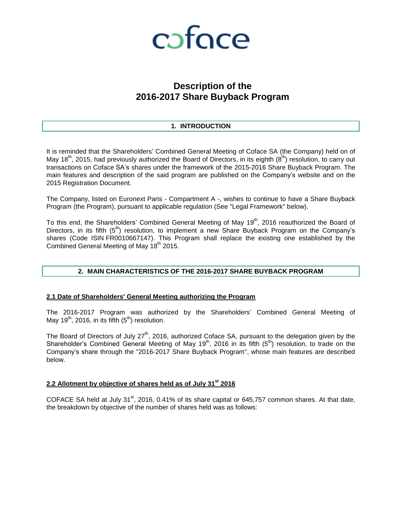

# **Description of the 2016-2017 Share Buyback Program**

# **1. INTRODUCTION**

It is reminded that the Shareholders' Combined General Meeting of Coface SA (the Company) held on of May 18<sup>th</sup>, 2015, had previously authorized the Board of Directors, in its eighth  $(8^{th})$  resolution, to carry out transactions on Coface SA's shares under the framework of the 2015-2016 Share Buyback Program. The main features and description of the said program are published on the Company's website and on the 2015 Registration Document.

The Company, listed on Euronext Paris - Compartment A -, wishes to continue to have a Share Buyback Program (the Program), pursuant to applicable regulation (See "Legal Framework" below).

To this end, the Shareholders' Combined General Meeting of May 19<sup>th</sup>, 2016 reauthorized the Board of Directors, in its fifth (5<sup>th</sup>) resolution, to implement a new Share Buyback Program on the Company's shares (Code ISIN FR0010667147). This Program shall replace the existing one established by the Combined General Meeting of May 18<sup>th</sup> 2015.

#### **2. MAIN CHARACTERISTICS OF THE 2016-2017 SHARE BUYBACK PROGRAM**

#### **2.1 Date of Shareholders' General Meeting authorizing the Program**

The 2016-2017 Program was authorized by the Shareholders' Combined General Meeting of May 19<sup>th</sup>, 2016, in its fifth  $(5<sup>th</sup>)$  resolution.

The Board of Directors of July 27<sup>th</sup>, 2016, authorized Coface SA, pursuant to the delegation given by the Shareholder's Combined General Meeting of May 19<sup>th</sup>, 2016 in its fifth  $(5<sup>th</sup>)$  resolution, to trade on the Company's share through the "2016-2017 Share Buyback Program", whose main features are described below.

### **2.2 Allotment by objective of shares held as of July 31st 2016**

COFACE SA held at July 31<sup>st</sup>, 2016, 0.41% of its share capital or 645,757 common shares. At that date, the breakdown by objective of the number of shares held was as follows: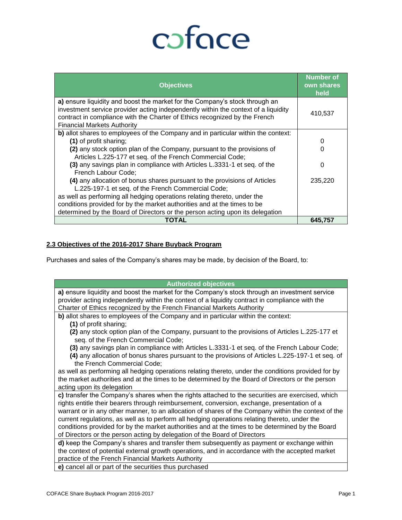# coface

| <b>Objectives</b>                                                                                                                                                                                                                                                                     | <b>Number of</b><br>own shares<br>held |
|---------------------------------------------------------------------------------------------------------------------------------------------------------------------------------------------------------------------------------------------------------------------------------------|----------------------------------------|
| a) ensure liquidity and boost the market for the Company's stock through an<br>investment service provider acting independently within the context of a liquidity<br>contract in compliance with the Charter of Ethics recognized by the French<br><b>Financial Markets Authority</b> | 410,537                                |
| b) allot shares to employees of the Company and in particular within the context:                                                                                                                                                                                                     |                                        |
| (1) of profit sharing;                                                                                                                                                                                                                                                                | 0                                      |
| (2) any stock option plan of the Company, pursuant to the provisions of<br>Articles L.225-177 et seq. of the French Commercial Code;                                                                                                                                                  | 0                                      |
| (3) any savings plan in compliance with Articles L.3331-1 et seq. of the<br>French Labour Code:                                                                                                                                                                                       | 0                                      |
| (4) any allocation of bonus shares pursuant to the provisions of Articles<br>L.225-197-1 et seq. of the French Commercial Code;                                                                                                                                                       | 235,220                                |
| as well as performing all hedging operations relating thereto, under the                                                                                                                                                                                                              |                                        |
| conditions provided for by the market authorities and at the times to be                                                                                                                                                                                                              |                                        |
| determined by the Board of Directors or the person acting upon its delegation                                                                                                                                                                                                         |                                        |
| TOTAL                                                                                                                                                                                                                                                                                 | 645.757                                |

# **2.3 Objectives of the 2016-2017 Share Buyback Program**

Purchases and sales of the Company's shares may be made, by decision of the Board, to:

## **Authorized objectives a)** ensure liquidity and boost the market for the Company's stock through an investment service provider acting independently within the context of a liquidity contract in compliance with the Charter of Ethics recognized by the French Financial Markets Authority **b)** allot shares to employees of the Company and in particular within the context: **(1)** of profit sharing; **(2)** any stock option plan of the Company, pursuant to the provisions of Articles L.225-177 et seq. of the French Commercial Code; **(3)** any savings plan in compliance with Articles L.3331-1 et seq. of the French Labour Code; **(4)** any allocation of bonus shares pursuant to the provisions of Articles L.225-197-1 et seq. of the French Commercial Code; as well as performing all hedging operations relating thereto, under the conditions provided for by the market authorities and at the times to be determined by the Board of Directors or the person acting upon its delegation **c)** transfer the Company's shares when the rights attached to the securities are exercised, which rights entitle their bearers through reimbursement, conversion, exchange, presentation of a warrant or in any other manner, to an allocation of shares of the Company within the context of the current regulations, as well as to perform all hedging operations relating thereto, under the conditions provided for by the market authorities and at the times to be determined by the Board of Directors or the person acting by delegation of the Board of Directors **d)** keep the Company's shares and transfer them subsequently as payment or exchange within the context of potential external growth operations, and in accordance with the accepted market practice of the French Financial Markets Authority **e)** cancel all or part of the securities thus purchased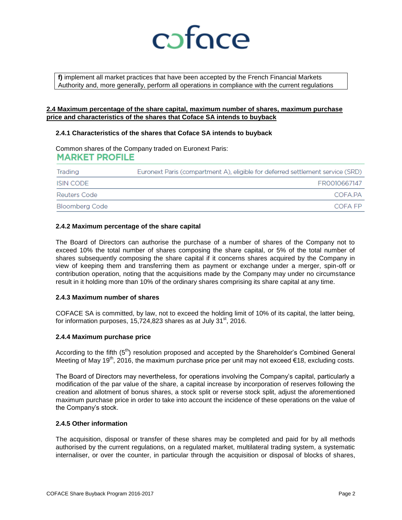

**f)** implement all market practices that have been accepted by the French Financial Markets Authority and, more generally, perform all operations in compliance with the current regulations

### **2.4 Maximum percentage of the share capital, maximum number of shares, maximum purchase price and characteristics of the shares that Coface SA intends to buyback**

#### **2.4.1 Characteristics of the shares that Coface SA intends to buyback**

Common shares of the Company traded on Euronext Paris: **MARKET PROFILE** 

| Trading        | Euronext Paris (compartment A), eligible for deferred settlement service (SRD) |
|----------------|--------------------------------------------------------------------------------|
| ISIN CODE      | FR0010667147                                                                   |
| Reuters Code   | COFA PA                                                                        |
| Bloomberg Code | COFA FP                                                                        |

#### **2.4.2 Maximum percentage of the share capital**

The Board of Directors can authorise the purchase of a number of shares of the Company not to exceed 10% the total number of shares composing the share capital, or 5% of the total number of shares subsequently composing the share capital if it concerns shares acquired by the Company in view of keeping them and transferring them as payment or exchange under a merger, spin-off or contribution operation, noting that the acquisitions made by the Company may under no circumstance result in it holding more than 10% of the ordinary shares comprising its share capital at any time.

#### **2.4.3 Maximum number of shares**

COFACE SA is committed, by law, not to exceed the holding limit of 10% of its capital, the latter being, for information purposes, 15,724,823 shares as at July 31 $^{\rm st}$ , 2016.

#### **2.4.4 Maximum purchase price**

According to the fifth (5<sup>th</sup>) resolution proposed and accepted by the Shareholder's Combined General Meeting of May 19<sup>th</sup>, 2016, the maximum purchase price per unit may not exceed €18, excluding costs.

The Board of Directors may nevertheless, for operations involving the Company's capital, particularly a modification of the par value of the share, a capital increase by incorporation of reserves following the creation and allotment of bonus shares, a stock split or reverse stock split, adjust the aforementioned maximum purchase price in order to take into account the incidence of these operations on the value of the Company's stock.

#### **2.4.5 Other information**

The acquisition, disposal or transfer of these shares may be completed and paid for by all methods authorised by the current regulations, on a regulated market, multilateral trading system, a systematic internaliser, or over the counter, in particular through the acquisition or disposal of blocks of shares,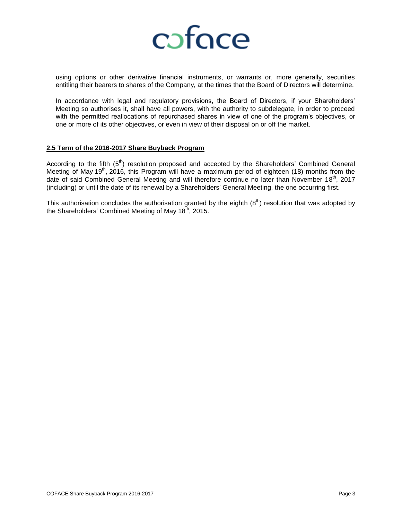

using options or other derivative financial instruments, or warrants or, more generally, securities entitling their bearers to shares of the Company, at the times that the Board of Directors will determine.

In accordance with legal and regulatory provisions, the Board of Directors, if your Shareholders' Meeting so authorises it, shall have all powers, with the authority to subdelegate, in order to proceed with the permitted reallocations of repurchased shares in view of one of the program's objectives, or one or more of its other objectives, or even in view of their disposal on or off the market.

#### **2.5 Term of the 2016-2017 Share Buyback Program**

According to the fifth  $(5<sup>th</sup>)$  resolution proposed and accepted by the Shareholders' Combined General Meeting of May 19<sup>th</sup>, 2016, this Program will have a maximum period of eighteen (18) months from the date of said Combined General Meeting and will therefore continue no later than November 18<sup>th</sup>, 2017 (including) or until the date of its renewal by a Shareholders' General Meeting, the one occurring first.

This authorisation concludes the authorisation granted by the eighth  $(8<sup>th</sup>)$  resolution that was adopted by the Shareholders' Combined Meeting of May  $18<sup>th</sup>$ , 2015.